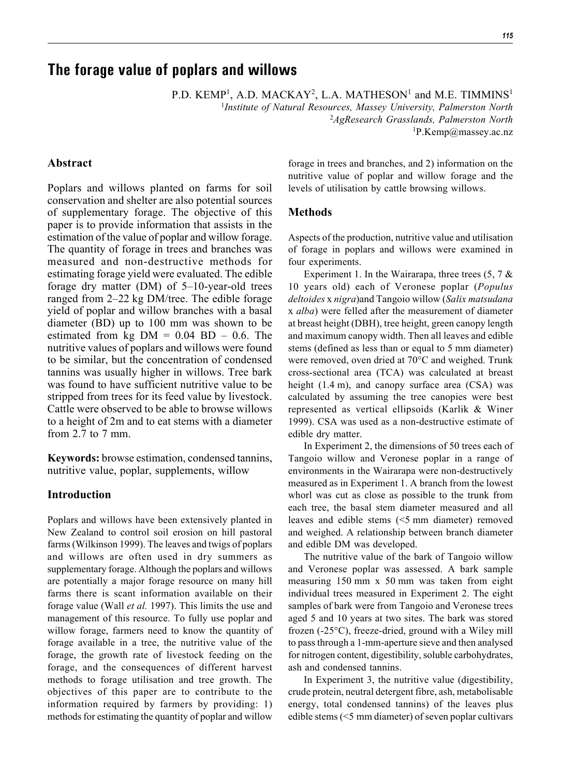# **The forage value of poplars and willows**

P.D. KEMP<sup>1</sup>, A.D. MACKAY<sup>2</sup>, L.A. MATHESON<sup>1</sup> and M.E. TIMMINS<sup>1</sup>

1 *Institute of Natural Resources, Massey University, Palmerston North* 2 *AgResearch Grasslands, Palmerston North* 1 P.Kemp@massey.ac.nz

# **Abstract**

Poplars and willows planted on farms for soil conservation and shelter are also potential sources of supplementary forage. The objective of this paper is to provide information that assists in the estimation of the value of poplar and willow forage. The quantity of forage in trees and branches was measured and non-destructive methods for estimating forage yield were evaluated. The edible forage dry matter (DM) of 5–10-year-old trees ranged from 2–22 kg DM/tree. The edible forage yield of poplar and willow branches with a basal diameter (BD) up to 100 mm was shown to be estimated from kg  $DM = 0.04 BD - 0.6$ . The nutritive values of poplars and willows were found to be similar, but the concentration of condensed tannins was usually higher in willows. Tree bark was found to have sufficient nutritive value to be stripped from trees for its feed value by livestock. Cattle were observed to be able to browse willows to a height of 2m and to eat stems with a diameter from 2.7 to 7 mm.

**Keywords:** browse estimation, condensed tannins, nutritive value, poplar, supplements, willow

## **Introduction**

Poplars and willows have been extensively planted in New Zealand to control soil erosion on hill pastoral farms (Wilkinson 1999). The leaves and twigs of poplars and willows are often used in dry summers as supplementary forage. Although the poplars and willows are potentially a major forage resource on many hill farms there is scant information available on their forage value (Wall *et al.* 1997). This limits the use and management of this resource. To fully use poplar and willow forage, farmers need to know the quantity of forage available in a tree, the nutritive value of the forage, the growth rate of livestock feeding on the forage, and the consequences of different harvest methods to forage utilisation and tree growth. The objectives of this paper are to contribute to the information required by farmers by providing: 1) methods for estimating the quantity of poplar and willow

forage in trees and branches, and 2) information on the nutritive value of poplar and willow forage and the levels of utilisation by cattle browsing willows.

## **Methods**

Aspects of the production, nutritive value and utilisation of forage in poplars and willows were examined in four experiments.

Experiment 1. In the Wairarapa, three trees  $(5, 7 \&$ 10 years old) each of Veronese poplar (*Populus deltoides* x *nigra*)and Tangoio willow (*Salix matsudana* x *alba*) were felled after the measurement of diameter at breast height (DBH), tree height, green canopy length and maximum canopy width. Then all leaves and edible stems (defined as less than or equal to 5 mm diameter) were removed, oven dried at 70°C and weighed. Trunk cross-sectional area (TCA) was calculated at breast height (1.4 m), and canopy surface area (CSA) was calculated by assuming the tree canopies were best represented as vertical ellipsoids (Karlik & Winer 1999). CSA was used as a non-destructive estimate of edible dry matter.

In Experiment 2, the dimensions of 50 trees each of Tangoio willow and Veronese poplar in a range of environments in the Wairarapa were non-destructively measured as in Experiment 1. A branch from the lowest whorl was cut as close as possible to the trunk from each tree, the basal stem diameter measured and all leaves and edible stems (<5 mm diameter) removed and weighed. A relationship between branch diameter and edible DM was developed.

The nutritive value of the bark of Tangoio willow and Veronese poplar was assessed. A bark sample measuring 150 mm x 50 mm was taken from eight individual trees measured in Experiment 2. The eight samples of bark were from Tangoio and Veronese trees aged 5 and 10 years at two sites. The bark was stored frozen (-25°C), freeze-dried, ground with a Wiley mill to pass through a 1-mm-aperture sieve and then analysed for nitrogen content, digestibility, soluble carbohydrates, ash and condensed tannins.

In Experiment 3, the nutritive value (digestibility, crude protein, neutral detergent fibre, ash, metabolisable energy, total condensed tannins) of the leaves plus edible stems (<5 mm diameter) of seven poplar cultivars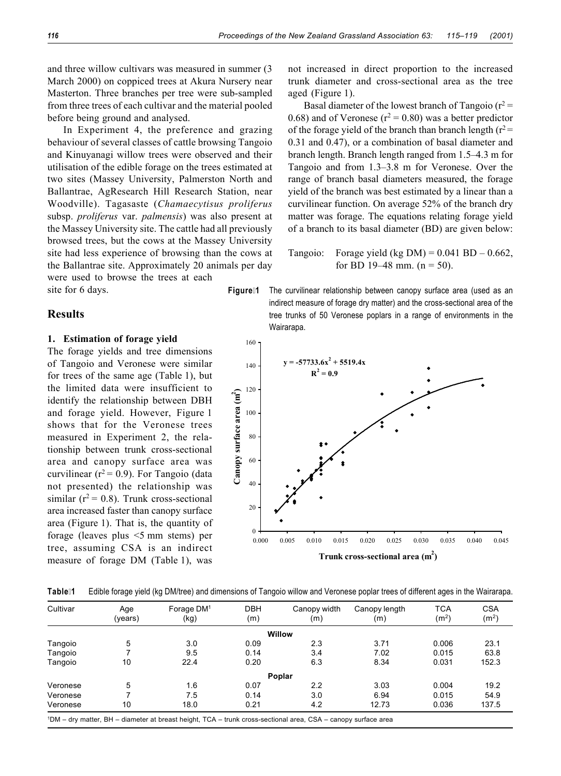and three willow cultivars was measured in summer (3 March 2000) on coppiced trees at Akura Nursery near Masterton. Three branches per tree were sub-sampled from three trees of each cultivar and the material pooled before being ground and analysed.

In Experiment 4, the preference and grazing behaviour of several classes of cattle browsing Tangoio and Kinuyanagi willow trees were observed and their utilisation of the edible forage on the trees estimated at two sites (Massey University, Palmerston North and Ballantrae, AgResearch Hill Research Station, near Woodville). Tagasaste (*Chamaecytisus proliferus* subsp. *proliferus* var. *palmensis*) was also present at the Massey University site. The cattle had all previously browsed trees, but the cows at the Massey University site had less experience of browsing than the cows at the Ballantrae site. Approximately 20 animals per day were used to browse the trees at each

site for 6 days.

### **Results**

#### **1. Estimation of forage yield**

The forage yields and tree dimensions of Tangoio and Veronese were similar for trees of the same age (Table 1), but the limited data were insufficient to identify the relationship between DBH and forage yield. However, Figure 1 shows that for the Veronese trees measured in Experiment 2, the relationship between trunk cross-sectional area and canopy surface area was curvilinear ( $r^2$  = 0.9). For Tangoio (data not presented) the relationship was similar ( $r^2$  = 0.8). Trunk cross-sectional area increased faster than canopy surface area (Figure 1). That is, the quantity of forage (leaves plus <5 mm stems) per tree, assuming CSA is an indirect measure of forage DM (Table 1), was

not increased in direct proportion to the increased trunk diameter and cross-sectional area as the tree aged (Figure 1).

Basal diameter of the lowest branch of Tangoio ( $r^2$  = 0.68) and of Veronese ( $r^2 = 0.80$ ) was a better predictor of the forage yield of the branch than branch length ( $r^2$  = 0.31 and 0.47), or a combination of basal diameter and branch length. Branch length ranged from 1.5–4.3 m for Tangoio and from 1.3–3.8 m for Veronese. Over the range of branch basal diameters measured, the forage yield of the branch was best estimated by a linear than a curvilinear function. On average 52% of the branch dry matter was forage. The equations relating forage yield of a branch to its basal diameter (BD) are given below:

Tangoio: Forage yield (kg DM) =  $0.041$  BD  $- 0.662$ , for BD 19–48 mm.  $(n = 50)$ .

**Figure 1** The curvilinear relationship between canopy surface area (used as an indirect measure of forage dry matter) and the cross-sectional area of the tree trunks of 50 Veronese poplars in a range of environments in the Wairarapa.



**Table 1** Edible forage yield (kg DM/tree) and dimensions of Tangoio willow and Veronese poplar trees of different ages in the Wairarapa.

| Cultivar | Age<br>(years) | Forage $DM1$<br>(kg)                                                                                                      | <b>DBH</b><br>(m) | Canopy width<br>(m) | Canopy length<br>(m) | <b>TCA</b><br>(m <sup>2</sup> ) | <b>CSA</b><br>(m <sup>2</sup> ) |
|----------|----------------|---------------------------------------------------------------------------------------------------------------------------|-------------------|---------------------|----------------------|---------------------------------|---------------------------------|
|          |                |                                                                                                                           |                   | Willow              |                      |                                 |                                 |
| Tangoio  | 5              | 3.0                                                                                                                       | 0.09              | 2.3                 | 3.71                 | 0.006                           | 23.1                            |
| Tangoio  |                | 9.5                                                                                                                       | 0.14              | 3.4                 | 7.02                 | 0.015                           | 63.8                            |
| Tangoio  | 10             | 22.4                                                                                                                      | 0.20              | 6.3                 | 8.34                 | 0.031                           | 152.3                           |
|          |                |                                                                                                                           |                   | Poplar              |                      |                                 |                                 |
| Veronese | 5              | 1.6                                                                                                                       | 0.07              | 2.2                 | 3.03                 | 0.004                           | 19.2                            |
| Veronese |                | 7.5                                                                                                                       | 0.14              | 3.0                 | 6.94                 | 0.015                           | 54.9                            |
| Veronese | 10             | 18.0                                                                                                                      | 0.21              | 4.2                 | 12.73                | 0.036                           | 137.5                           |
|          |                | <sup>1</sup> DM – dry matter, BH – diameter at breast height, TCA – trunk cross-sectional area, CSA – canopy surface area |                   |                     |                      |                                 |                                 |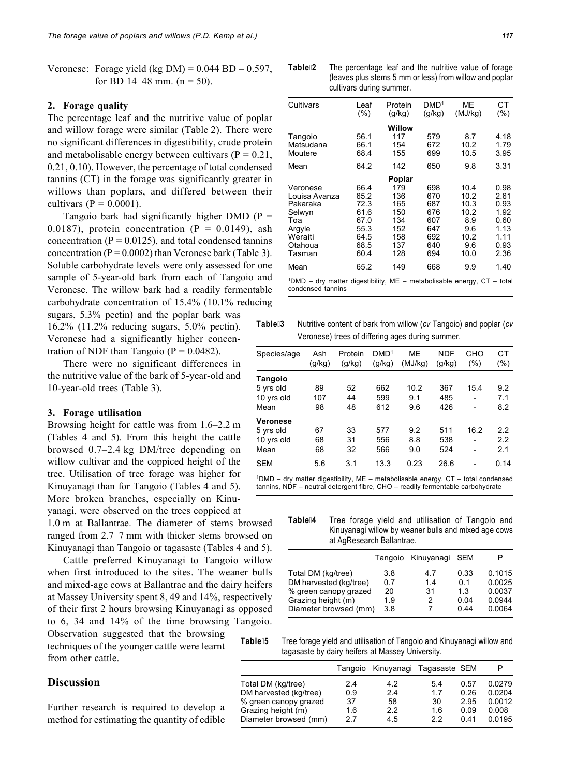Veronese: Forage yield (kg DM) =  $0.044$  BD –  $0.597$ , for BD 14–48 mm.  $(n = 50)$ .

#### **2. Forage quality**

The percentage leaf and the nutritive value of poplar and willow forage were similar (Table 2). There were no significant differences in digestibility, crude protein and metabolisable energy between cultivars ( $P = 0.21$ , 0.21, 0.10). However, the percentage of total condensed tannins (CT) in the forage was significantly greater in willows than poplars, and differed between their cultivars ( $P = 0.0001$ ).

Tangoio bark had significantly higher DMD ( $P =$ 0.0187), protein concentration ( $P = 0.0149$ ), ash concentration ( $P = 0.0125$ ), and total condensed tannins concentration ( $P = 0.0002$ ) than Veronese bark (Table 3). Soluble carbohydrate levels were only assessed for one sample of 5-year-old bark from each of Tangoio and Veronese. The willow bark had a readily fermentable carbohydrate concentration of 15.4% (10.1% reducing

sugars, 5.3% pectin) and the poplar bark was 16.2% (11.2% reducing sugars, 5.0% pectin). Veronese had a significantly higher concentration of NDF than Tangoio ( $P = 0.0482$ ).

There were no significant differences in the nutritive value of the bark of 5-year-old and 10-year-old trees (Table 3).

#### **3. Forage utilisation**

Browsing height for cattle was from 1.6–2.2 m (Tables 4 and 5). From this height the cattle browsed 0.7–2.4 kg DM/tree depending on willow cultivar and the coppiced height of the tree. Utilisation of tree forage was higher for Kinuyanagi than for Tangoio (Tables 4 and 5). More broken branches, especially on Kinuyanagi, were observed on the trees coppiced at

1.0 m at Ballantrae. The diameter of stems browsed ranged from 2.7–7 mm with thicker stems browsed on Kinuyanagi than Tangoio or tagasaste (Tables 4 and 5).

Cattle preferred Kinuyanagi to Tangoio willow when first introduced to the sites. The weaner bulls and mixed-age cows at Ballantrae and the dairy heifers at Massey University spent 8, 49 and 14%, respectively of their first 2 hours browsing Kinuyanagi as opposed to 6, 34 and 14% of the time browsing Tangoio.

L,

Observation suggested that the browsing techniques of the younger cattle were learnt from other cattle.

# **Discussion**

Further research is required to develop a method for estimating the quantity of edible

**Table 2** The percentage leaf and the nutritive value of forage (leaves plus stems 5 mm or less) from willow and poplar cultivars during summer.

| Cultivars                                                                                               | Leaf<br>(%)                                                          | Protein<br>(g/kg)                                           | DMD <sup>1</sup><br>(g/kg)                                  | MЕ<br>(MJ/kg)                                                     | СT<br>$(\%)$                                                         |  |  |  |
|---------------------------------------------------------------------------------------------------------|----------------------------------------------------------------------|-------------------------------------------------------------|-------------------------------------------------------------|-------------------------------------------------------------------|----------------------------------------------------------------------|--|--|--|
|                                                                                                         |                                                                      | Willow                                                      |                                                             |                                                                   |                                                                      |  |  |  |
| Tangoio<br>Matsudana<br>Moutere                                                                         | 56.1<br>66.1<br>68.4                                                 | 117<br>154<br>155                                           | 579<br>672<br>699                                           | 8.7<br>10.2<br>10.5                                               | 4.18<br>1.79<br>3.95                                                 |  |  |  |
| Mean                                                                                                    | 64.2                                                                 | 142                                                         | 650                                                         | 9.8                                                               | 3.31                                                                 |  |  |  |
| Poplar                                                                                                  |                                                                      |                                                             |                                                             |                                                                   |                                                                      |  |  |  |
| Veronese<br>Louisa Avanza<br>Pakaraka<br>Selwyn<br>Toa<br>Argyle<br>Weraiti<br>Otahoua<br>Tasman        | 66.4<br>65.2<br>72.3<br>61.6<br>67.0<br>55.3<br>64.5<br>68.5<br>60.4 | 179<br>136<br>165<br>150<br>134<br>152<br>158<br>137<br>128 | 698<br>670<br>687<br>676<br>607<br>647<br>692<br>640<br>694 | 10.4<br>10.2<br>10.3<br>10.2<br>8.9<br>9.6<br>10.2<br>9.6<br>10.0 | 0.98<br>2.61<br>0.93<br>1.92<br>0.60<br>1.13<br>1.11<br>0.93<br>2.36 |  |  |  |
| Mean                                                                                                    | 65.2                                                                 | 149                                                         | 668                                                         | 9.9                                                               | 1.40                                                                 |  |  |  |
| <sup>1</sup> DMD - dry matter digestibility, ME - metabolisable energy, CT - total<br>condensed tannins |                                                                      |                                                             |                                                             |                                                                   |                                                                      |  |  |  |

**Table 3** Nutritive content of bark from willow (*cv* Tangoio) and poplar (*cv* Veronese) trees of differing ages during summer.

| Species/age | Ash<br>(g/kg) | Protein<br>(g/kg) | DMD <sup>1</sup><br>(g/kg) | ME<br>(MJ/kg) | <b>NDF</b><br>(g/kg) | CHO<br>(%) | CT<br>$(\%)$ |
|-------------|---------------|-------------------|----------------------------|---------------|----------------------|------------|--------------|
| Tangoio     |               |                   |                            |               |                      |            |              |
| 5 yrs old   | 89            | 52                | 662                        | 10.2          | 367                  | 15.4       | 9.2          |
| 10 yrs old  | 107           | 44                | 599                        | 9.1           | 485                  | ۰          | 7.1          |
| Mean        | 98            | 48                | 612                        | 9.6           | 426                  |            | 8.2          |
| Veronese    |               |                   |                            |               |                      |            |              |
| 5 yrs old   | 67            | 33                | 577                        | 9.2           | 511                  | 16.2       | 2.2          |
| 10 yrs old  | 68            | 31                | 556                        | 8.8           | 538                  | ٠          | 2.2          |
| Mean        | 68            | 32                | 566                        | 9.0           | 524                  | ۰          | 2.1          |
| <b>SEM</b>  | 5.6           | 3.1               | 13.3                       | 0.23          | 26.6                 |            | 0.14         |

1DMD – dry matter digestibility, ME – metabolisable energy, CT – total condensed tannins, NDF – neutral detergent fibre, CHO – readily fermentable carbohydrate

**Table 4** Tree forage yield and utilisation of Tangoio and Kinuyanagi willow by weaner bulls and mixed age cows at AgResearch Ballantrae.

|                        |     | Tangoio Kinuyanagi | <b>SEM</b> | P      |
|------------------------|-----|--------------------|------------|--------|
| Total DM (kg/tree)     | 3.8 | 47                 | 0.33       | 0.1015 |
| DM harvested (kg/tree) | 07  | 14                 | 0 1        | 0.0025 |
| % green canopy grazed  | 20  | 31                 | 13         | 0.0037 |
| Grazing height (m)     | 1.9 | 2                  | 0.04       | 0.0944 |
| Diameter browsed (mm)  | 3.8 |                    | 0.44       | 0.0064 |
|                        |     |                    |            |        |

**Table 5** Tree forage yield and utilisation of Tangoio and Kinuyanagi willow and tagasaste by dairy heifers at Massey University.

|                        |     | Tangoio Kinuyanagi Tagasaste SEM |     |      |        |
|------------------------|-----|----------------------------------|-----|------|--------|
| Total DM (kg/tree)     | 2.4 | 4.2                              | 5.4 | 0.57 | 0.0279 |
| DM harvested (kg/tree) | 0.9 | 2.4                              | 1.7 | 0.26 | 0.0204 |
| % green canopy grazed  | 37  | 58                               | 30  | 2.95 | 0.0012 |
| Grazing height (m)     | 1.6 | 2.2                              | 1.6 | 0.09 | 0.008  |
| Diameter browsed (mm)  | 2.7 | 4.5                              | 22  | 0.41 | 0.0195 |
|                        |     |                                  |     |      |        |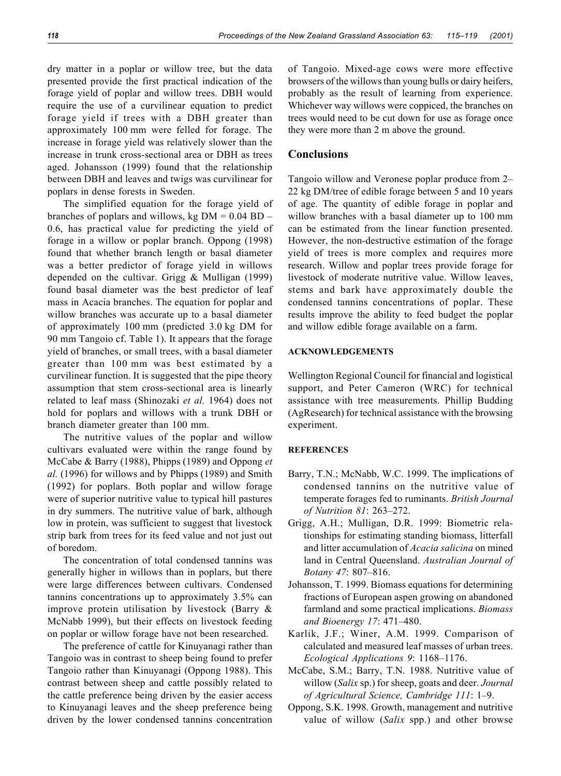dry matter in a poplar or willow tree, but the data presented provide the first practical indication of the forage yield of poplar and willow trees. DBH would require the use of a curvilinear equation to predict forage yield if trees with a DBH greater than approximately 100 mm were felled for forage. The increase in forage yield was relatively slower than the increase in trunk cross-sectional area or DBH as trees aged. Johansson (1999) found that the relationship between DBH and leaves and twigs was curvilinear for poplars in dense forests in Sweden.

The simplified equation for the forage yield of branches of poplars and willows, kg  $DM = 0.04 BD -$ 0.6, has practical value for predicting the yield of forage in a willow or poplar branch. Oppong (1998) found that whether branch length or basal diameter was a better predictor of forage yield in willows depended on the cultivar. Grigg & Mulligan (1999) found basal diameter was the best predictor of leaf mass in Acacia branches. The equation for poplar and willow branches was accurate up to a basal diameter of approximately 100 mm (predicted 3.0 kg DM for 90 mm Tangoio cf. Table 1). It appears that the forage yield of branches, or small trees, with a basal diameter greater than 100 mm was best estimated by a curvilinear function. It is suggested that the pipe theory assumption that stem cross-sectional area is linearly related to leaf mass (Shinozaki *et al.* 1964) does not hold for poplars and willows with a trunk DBH or branch diameter greater than 100 mm.

The nutritive values of the poplar and willow cultivars evaluated were within the range found by McCabe & Barry (1988), Phipps (1989) and Oppong *et al.* (1996) for willows and by Phipps (1989) and Smith (1992) for poplars. Both poplar and willow forage were of superior nutritive value to typical hill pastures in dry summers. The nutritive value of bark, although low in protein, was sufficient to suggest that livestock strip bark from trees for its feed value and not just out of boredom.

The concentration of total condensed tannins was generally higher in willows than in poplars, but there were large differences between cultivars. Condensed tannins concentrations up to approximately 3.5% can improve protein utilisation by livestock (Barry & McNabb 1999), but their effects on livestock feeding on poplar or willow forage have not been researched.

The preference of cattle for Kinuyanagi rather than Tangoio was in contrast to sheep being found to prefer Tangoio rather than Kinuyanagi (Oppong 1988). This contrast between sheep and cattle possibly related to the cattle preference being driven by the easier access to Kinuyanagi leaves and the sheep preference being driven by the lower condensed tannins concentration

of Tangoio. Mixed-age cows were more effective browsers of the willows than young bulls or dairy heifers, probably as the result of learning from experience. Whichever way willows were coppiced, the branches on trees would need to be cut down for use as forage once they were more than 2 m above the ground.

# **Conclusions**

Tangoio willow and Veronese poplar produce from 2– 22 kg DM/tree of edible forage between 5 and 10 years of age. The quantity of edible forage in poplar and willow branches with a basal diameter up to 100 mm can be estimated from the linear function presented. However, the non-destructive estimation of the forage yield of trees is more complex and requires more research. Willow and poplar trees provide forage for livestock of moderate nutritive value. Willow leaves, stems and bark have approximately double the condensed tannins concentrations of poplar. These results improve the ability to feed budget the poplar and willow edible forage available on a farm.

### **ACKNOWLEDGEMENTS**

Wellington Regional Council for financial and logistical support, and Peter Cameron (WRC) for technical assistance with tree measurements. Phillip Budding (AgResearch) for technical assistance with the browsing experiment.

#### **REFERENCES**

- Barry, T.N.; McNabb, W.C. 1999. The implications of condensed tannins on the nutritive value of temperate forages fed to ruminants. *British Journal of Nutrition 81*: 263–272.
- Grigg, A.H.; Mulligan, D.R. 1999: Biometric relationships for estimating standing biomass, litterfall and litter accumulation of *Acacia salicina* on mined land in Central Queensland. *Australian Journal of Botany 47*: 807–816.
- Johansson, T. 1999. Biomass equations for determining fractions of European aspen growing on abandoned farmland and some practical implications. *Biomass and Bioenergy 17*: 471–480.
- Karlik, J.F.; Winer, A.M. 1999. Comparison of calculated and measured leaf masses of urban trees. *Ecological Applications 9*: 1168–1176.
- McCabe, S.M.; Barry, T.N. 1988. Nutritive value of willow (*Salix* sp.) for sheep, goats and deer. *Journal of Agricultural Science, Cambridge 111*: 1–9.
- Oppong, S.K. 1998. Growth, management and nutritive value of willow (*Salix* spp.) and other browse